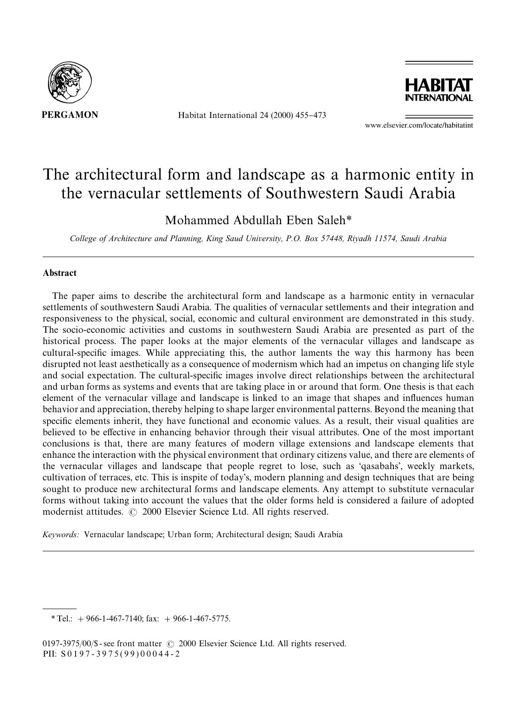

Habitat International 24 (2000) 455-473



www.elsevier.com/locate/habitatint

## The architectural form and landscape as a harmonic entity in the vernacular settlements of Southwestern Saudi Arabia

Mohammed Abdullah Eben Saleh*\**

*College of Architecture and Planning, King Saud University, P.O. Box 57448, Riyadh 11574, Saudi Arabia*

## **Abstract**

The paper aims to describe the architectural form and landscape as a harmonic entity in vernacular settlements of southwestern Saudi Arabia. The qualities of vernacular settlements and their integration and responsiveness to the physical, social, economic and cultural environment are demonstrated in this study. The socio-economic activities and customs in southwestern Saudi Arabia are presented as part of the historical process. The paper looks at the major elements of the vernacular villages and landscape as cultural-specific images. While appreciating this, the author laments the way this harmony has been disrupted not least aesthetically as a consequence of modernism which had an impetus on changing life style and social expectation. The cultural-specific images involve direct relationships between the architectural and urban forms as systems and events that are taking place in or around that form. One thesis is that each element of the vernacular village and landscape is linked to an image that shapes and influences human behavior and appreciation, thereby helping to shape larger environmental patterns. Beyond the meaning that specific elements inherit, they have functional and economic values. As a result, their visual qualities are believed to be effective in enhancing behavior through their visual attributes. One of the most important conclusions is that, there are many features of modern village extensions and landscape elements that enhance the interaction with the physical environment that ordinary citizens value, and there are elements of the vernacular villages and landscape that people regret to lose, such as 'qasabahs', weekly markets, cultivation of terraces, etc. This is inspite of today's, modern planning and design techniques that are being sought to produce new architectural forms and landscape elements. Any attempt to substitute vernacular forms without taking into account the values that the older forms held is considered a failure of adopted modernist attitudes.  $\odot$  2000 Elsevier Science Ltd. All rights reserved.

*Keywords:* Vernacular landscape; Urban form; Architectural design; Saudi Arabia

*<sup>\*</sup>*Tel.: #966-1-467-7140; fax: #966-1-467-5775.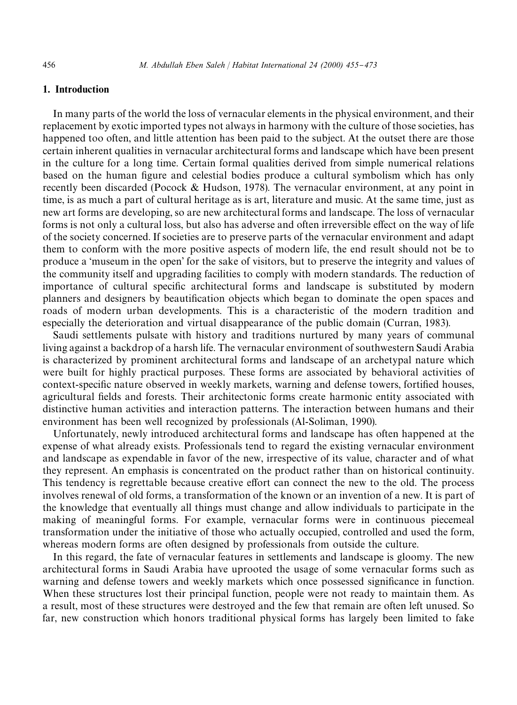## 1. Introduction

In many parts of the world the loss of vernacular elements in the physical environment, and their replacement by exotic imported types not always in harmony with the culture of those societies, has happened too often, and little attention has been paid to the subject. At the outset there are those certain inherent qualities in vernacular architectural forms and landscape which have been present in the culture for a long time. Certain formal qualities derived from simple numerical relations based on the human figure and celestial bodies produce a cultural symbolism which has only recently been discarded (Pocock & Hudson, 1978). The vernacular environment, at any point in time, is as much a part of cultural heritage as is art, literature and music. At the same time, just as new art forms are developing, so are new architectural forms and landscape. The loss of vernacular forms is not only a cultural loss, but also has adverse and often irreversible effect on the way of life of the society concerned. If societies are to preserve parts of the vernacular environment and adapt them to conform with the more positive aspects of modern life, the end result should not be to produce a 'museum in the open' for the sake of visitors, but to preserve the integrity and values of the community itself and upgrading facilities to comply with modern standards. The reduction of importance of cultural specific architectural forms and landscape is substituted by modern planners and designers by beautification objects which began to dominate the open spaces and roads of modern urban developments. This is a characteristic of the modern tradition and especially the deterioration and virtual disappearance of the public domain (Curran, 1983).

Saudi settlements pulsate with history and traditions nurtured by many years of communal living against a backdrop of a harsh life. The vernacular environment of southwestern Saudi Arabia is characterized by prominent architectural forms and landscape of an archetypal nature which were built for highly practical purposes. These forms are associated by behavioral activities of context-specific nature observed in weekly markets, warning and defense towers, fortified houses, agricultural fields and forests. Their architectonic forms create harmonic entity associated with distinctive human activities and interaction patterns. The interaction between humans and their environment has been well recognized by professionals (Al-Soliman, 1990).

Unfortunately, newly introduced architectural forms and landscape has often happened at the expense of what already exists. Professionals tend to regard the existing vernacular environment and landscape as expendable in favor of the new, irrespective of its value, character and of what they represent. An emphasis is concentrated on the product rather than on historical continuity. This tendency is regrettable because creative effort can connect the new to the old. The process involves renewal of old forms, a transformation of the known or an invention of a new. It is part of the knowledge that eventually all things must change and allow individuals to participate in the making of meaningful forms. For example, vernacular forms were in continuous piecemeal transformation under the initiative of those who actually occupied, controlled and used the form, whereas modern forms are often designed by professionals from outside the culture.

In this regard, the fate of vernacular features in settlements and landscape is gloomy. The new architectural forms in Saudi Arabia have uprooted the usage of some vernacular forms such as warning and defense towers and weekly markets which once possessed significance in function. When these structures lost their principal function, people were not ready to maintain them. As a result, most of these structures were destroyed and the few that remain are often left unused. So far, new construction which honors traditional physical forms has largely been limited to fake